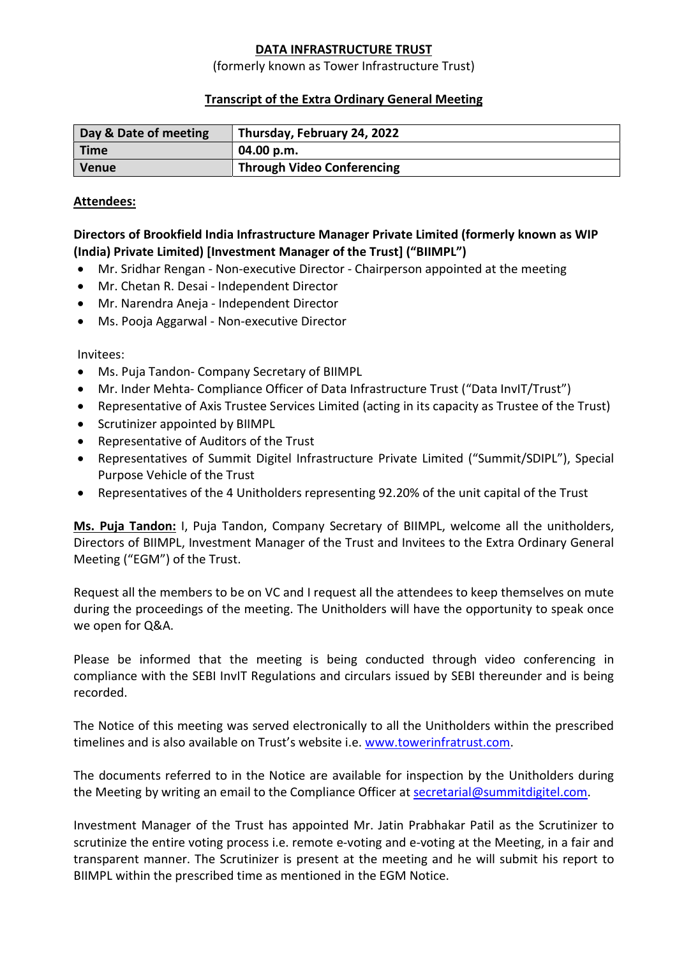## DATA INFRASTRUCTURE TRUST

#### (formerly known as Tower Infrastructure Trust)

### Transcript of the Extra Ordinary General Meeting

| Day & Date of meeting | Thursday, February 24, 2022       |
|-----------------------|-----------------------------------|
| <b>Time</b>           | 04.00 p.m.                        |
| <b>Venue</b>          | <b>Through Video Conferencing</b> |

#### Attendees:

## Directors of Brookfield India Infrastructure Manager Private Limited (formerly known as WIP (India) Private Limited) [Investment Manager of the Trust] ("BIIMPL")

- Mr. Sridhar Rengan Non-executive Director Chairperson appointed at the meeting
- Mr. Chetan R. Desai Independent Director
- Mr. Narendra Aneja Independent Director
- Ms. Pooja Aggarwal Non-executive Director

### Invitees:

- Ms. Puja Tandon- Company Secretary of BIIMPL
- Mr. Inder Mehta- Compliance Officer of Data Infrastructure Trust ("Data InvIT/Trust")
- Representative of Axis Trustee Services Limited (acting in its capacity as Trustee of the Trust)
- Scrutinizer appointed by BIIMPL
- Representative of Auditors of the Trust
- Representatives of Summit Digitel Infrastructure Private Limited ("Summit/SDIPL"), Special Purpose Vehicle of the Trust
- Representatives of the 4 Unitholders representing 92.20% of the unit capital of the Trust

Ms. Puja Tandon: I, Puja Tandon, Company Secretary of BIIMPL, welcome all the unitholders, Directors of BIIMPL, Investment Manager of the Trust and Invitees to the Extra Ordinary General Meeting ("EGM") of the Trust.

Request all the members to be on VC and I request all the attendees to keep themselves on mute during the proceedings of the meeting. The Unitholders will have the opportunity to speak once we open for Q&A.

Please be informed that the meeting is being conducted through video conferencing in compliance with the SEBI InvIT Regulations and circulars issued by SEBI thereunder and is being recorded.

The Notice of this meeting was served electronically to all the Unitholders within the prescribed timelines and is also available on Trust's website i.e. www.towerinfratrust.com.

The documents referred to in the Notice are available for inspection by the Unitholders during the Meeting by writing an email to the Compliance Officer at secretarial@summitdigitel.com.

Investment Manager of the Trust has appointed Mr. Jatin Prabhakar Patil as the Scrutinizer to scrutinize the entire voting process i.e. remote e-voting and e-voting at the Meeting, in a fair and transparent manner. The Scrutinizer is present at the meeting and he will submit his report to BIIMPL within the prescribed time as mentioned in the EGM Notice.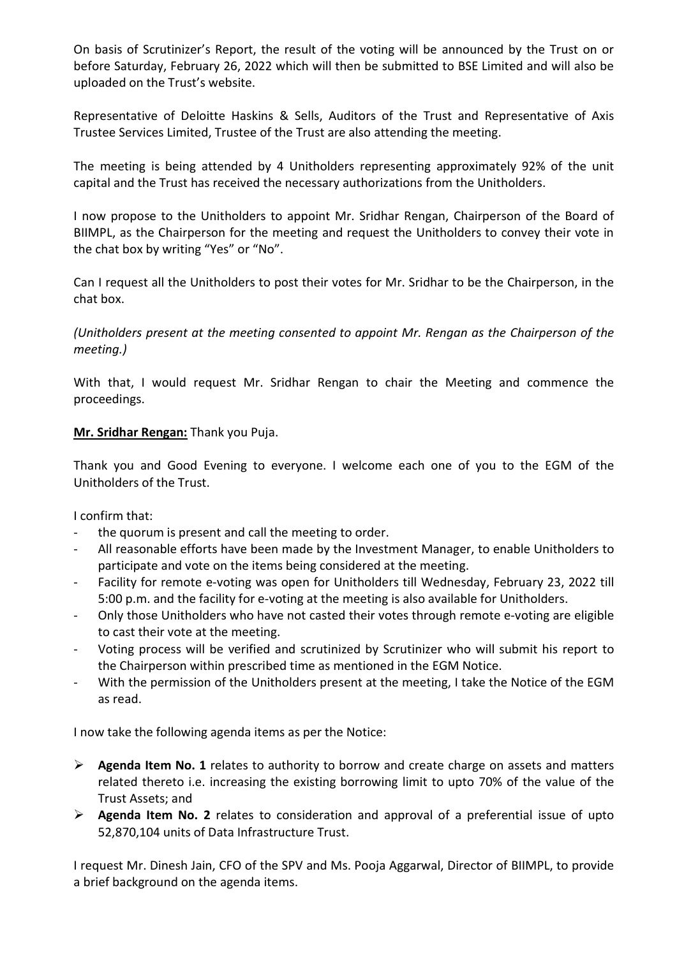On basis of Scrutinizer's Report, the result of the voting will be announced by the Trust on or before Saturday, February 26, 2022 which will then be submitted to BSE Limited and will also be uploaded on the Trust's website.

Representative of Deloitte Haskins & Sells, Auditors of the Trust and Representative of Axis Trustee Services Limited, Trustee of the Trust are also attending the meeting.

The meeting is being attended by 4 Unitholders representing approximately 92% of the unit capital and the Trust has received the necessary authorizations from the Unitholders.

I now propose to the Unitholders to appoint Mr. Sridhar Rengan, Chairperson of the Board of BIIMPL, as the Chairperson for the meeting and request the Unitholders to convey their vote in the chat box by writing "Yes" or "No".

Can I request all the Unitholders to post their votes for Mr. Sridhar to be the Chairperson, in the chat box.

(Unitholders present at the meeting consented to appoint Mr. Rengan as the Chairperson of the meeting.)

With that, I would request Mr. Sridhar Rengan to chair the Meeting and commence the proceedings.

# Mr. Sridhar Rengan: Thank you Puja.

Thank you and Good Evening to everyone. I welcome each one of you to the EGM of the Unitholders of the Trust.

I confirm that:

- the quorum is present and call the meeting to order.
- All reasonable efforts have been made by the Investment Manager, to enable Unitholders to participate and vote on the items being considered at the meeting.
- Facility for remote e-voting was open for Unitholders till Wednesday, February 23, 2022 till 5:00 p.m. and the facility for e-voting at the meeting is also available for Unitholders.
- Only those Unitholders who have not casted their votes through remote e-voting are eligible to cast their vote at the meeting.
- Voting process will be verified and scrutinized by Scrutinizer who will submit his report to the Chairperson within prescribed time as mentioned in the EGM Notice.
- With the permission of the Unitholders present at the meeting, I take the Notice of the EGM as read.

I now take the following agenda items as per the Notice:

- $\triangleright$  Agenda Item No. 1 relates to authority to borrow and create charge on assets and matters related thereto i.e. increasing the existing borrowing limit to upto 70% of the value of the Trust Assets; and
- $\triangleright$  Agenda Item No. 2 relates to consideration and approval of a preferential issue of upto 52,870,104 units of Data Infrastructure Trust.

I request Mr. Dinesh Jain, CFO of the SPV and Ms. Pooja Aggarwal, Director of BIIMPL, to provide a brief background on the agenda items.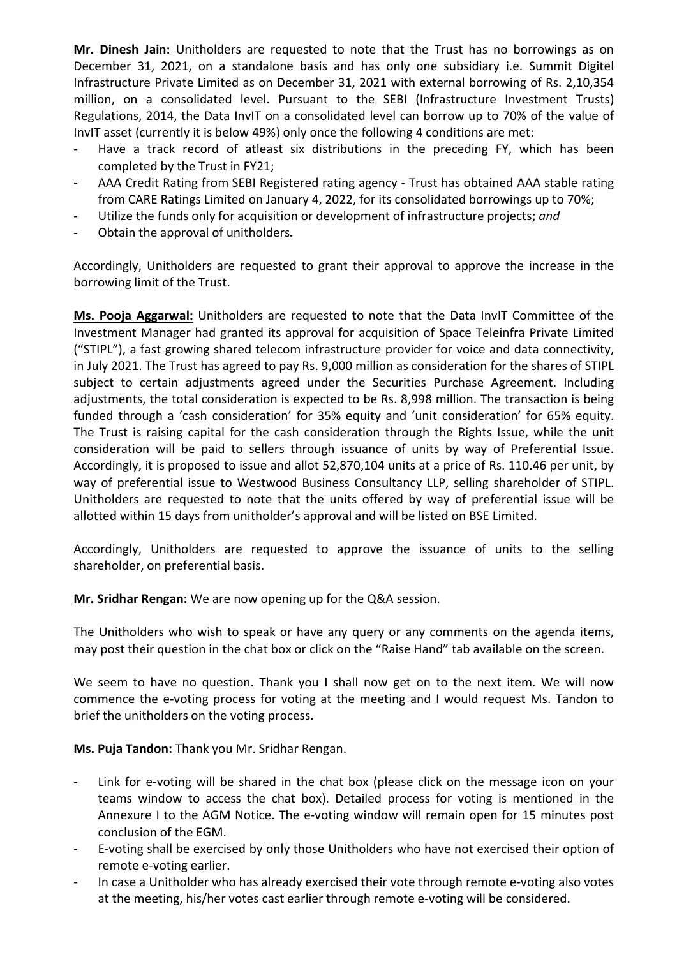Mr. Dinesh Jain: Unitholders are requested to note that the Trust has no borrowings as on December 31, 2021, on a standalone basis and has only one subsidiary i.e. Summit Digitel Infrastructure Private Limited as on December 31, 2021 with external borrowing of Rs. 2,10,354 million, on a consolidated level. Pursuant to the SEBI (Infrastructure Investment Trusts) Regulations, 2014, the Data InvIT on a consolidated level can borrow up to 70% of the value of InvIT asset (currently it is below 49%) only once the following 4 conditions are met:

- Have a track record of atleast six distributions in the preceding FY, which has been completed by the Trust in FY21;
- AAA Credit Rating from SEBI Registered rating agency Trust has obtained AAA stable rating from CARE Ratings Limited on January 4, 2022, for its consolidated borrowings up to 70%;
- Utilize the funds only for acquisition or development of infrastructure projects; and
- Obtain the approval of unitholders.

Accordingly, Unitholders are requested to grant their approval to approve the increase in the borrowing limit of the Trust.

Ms. Pooja Aggarwal: Unitholders are requested to note that the Data InvIT Committee of the Investment Manager had granted its approval for acquisition of Space Teleinfra Private Limited ("STIPL"), a fast growing shared telecom infrastructure provider for voice and data connectivity, in July 2021. The Trust has agreed to pay Rs. 9,000 million as consideration for the shares of STIPL subject to certain adjustments agreed under the Securities Purchase Agreement. Including adjustments, the total consideration is expected to be Rs. 8,998 million. The transaction is being funded through a 'cash consideration' for 35% equity and 'unit consideration' for 65% equity. The Trust is raising capital for the cash consideration through the Rights Issue, while the unit consideration will be paid to sellers through issuance of units by way of Preferential Issue. Accordingly, it is proposed to issue and allot 52,870,104 units at a price of Rs. 110.46 per unit, by way of preferential issue to Westwood Business Consultancy LLP, selling shareholder of STIPL. Unitholders are requested to note that the units offered by way of preferential issue will be allotted within 15 days from unitholder's approval and will be listed on BSE Limited.

Accordingly, Unitholders are requested to approve the issuance of units to the selling shareholder, on preferential basis.

Mr. Sridhar Rengan: We are now opening up for the Q&A session.

The Unitholders who wish to speak or have any query or any comments on the agenda items, may post their question in the chat box or click on the "Raise Hand" tab available on the screen.

We seem to have no question. Thank you I shall now get on to the next item. We will now commence the e-voting process for voting at the meeting and I would request Ms. Tandon to brief the unitholders on the voting process.

Ms. Puja Tandon: Thank you Mr. Sridhar Rengan.

- Link for e-voting will be shared in the chat box (please click on the message icon on your teams window to access the chat box). Detailed process for voting is mentioned in the Annexure I to the AGM Notice. The e-voting window will remain open for 15 minutes post conclusion of the EGM.
- E-voting shall be exercised by only those Unitholders who have not exercised their option of remote e-voting earlier.
- In case a Unitholder who has already exercised their vote through remote e-voting also votes at the meeting, his/her votes cast earlier through remote e-voting will be considered.